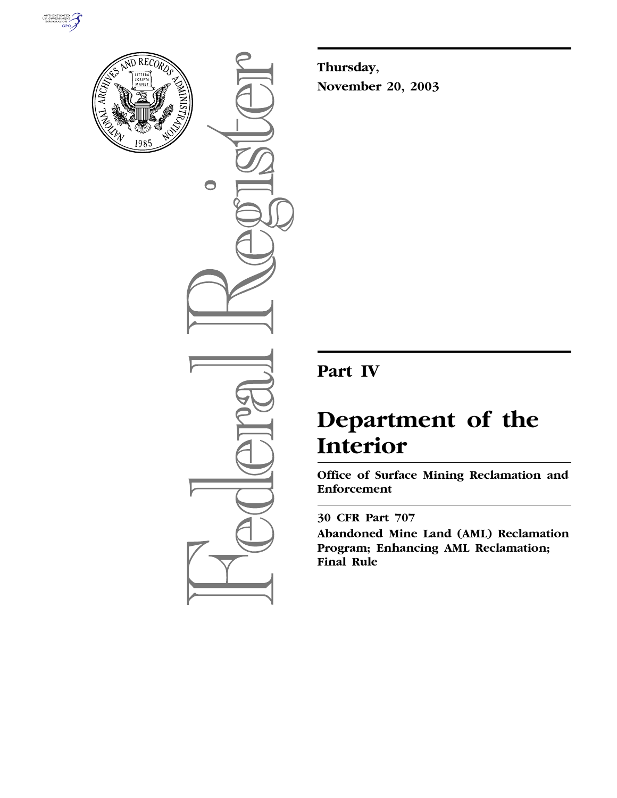



 $\bigcirc$ 

**Thursday, November 20, 2003**

# **Part IV**

# **Department of the Interior**

**Office of Surface Mining Reclamation and Enforcement** 

**30 CFR Part 707 Abandoned Mine Land (AML) Reclamation Program; Enhancing AML Reclamation; Final Rule**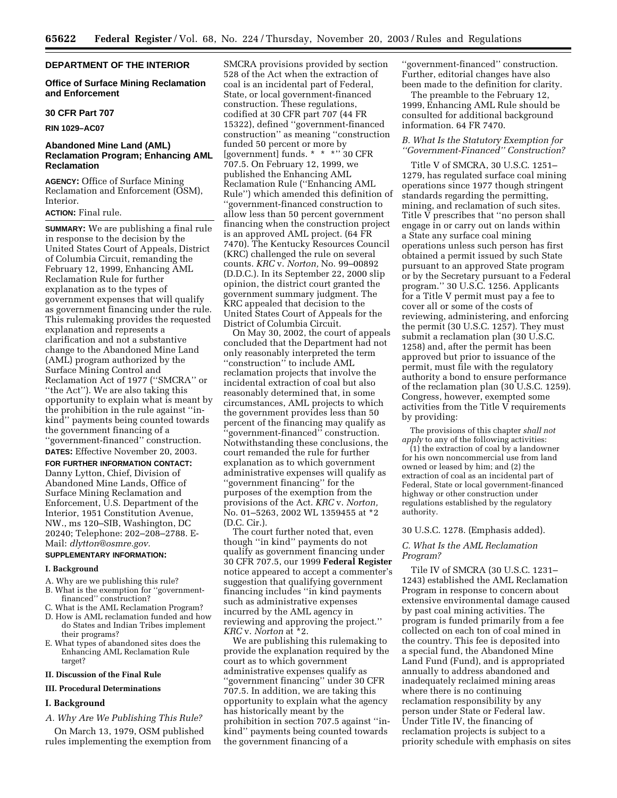# **DEPARTMENT OF THE INTERIOR**

# **Office of Surface Mining Reclamation and Enforcement**

#### **30 CFR Part 707**

**RIN 1029–AC07** 

# **Abandoned Mine Land (AML) Reclamation Program; Enhancing AML Reclamation**

**AGENCY:** Office of Surface Mining Reclamation and Enforcement (OSM), Interior.

# **ACTION:** Final rule.

**SUMMARY:** We are publishing a final rule in response to the decision by the United States Court of Appeals, District of Columbia Circuit, remanding the February 12, 1999, Enhancing AML Reclamation Rule for further explanation as to the types of government expenses that will qualify as government financing under the rule. This rulemaking provides the requested explanation and represents a clarification and not a substantive change to the Abandoned Mine Land (AML) program authorized by the Surface Mining Control and Reclamation Act of 1977 (''SMCRA'' or ''the Act''). We are also taking this opportunity to explain what is meant by the prohibition in the rule against ''inkind'' payments being counted towards the government financing of a ''government-financed'' construction. **DATES:** Effective November 20, 2003.

**FOR FURTHER INFORMATION CONTACT:** Danny Lytton, Chief, Division of Abandoned Mine Lands, Office of Surface Mining Reclamation and Enforcement, U.S. Department of the Interior, 1951 Constitution Avenue, NW., ms 120–SIB, Washington, DC 20240; Telephone: 202–208–2788. E-Mail: *dlytton@osmre.gov.*

# **SUPPLEMENTARY INFORMATION:**

# **I. Background**

- A. Why are we publishing this rule?
- B. What is the exemption for ''governmentfinanced'' construction?
- C. What is the AML Reclamation Program?
- D. How is AML reclamation funded and how do States and Indian Tribes implement their programs?
- E. What types of abandoned sites does the Enhancing AML Reclamation Rule target?

# **II. Discussion of the Final Rule**

# **III. Procedural Determinations**

#### **I. Background**

*A. Why Are We Publishing This Rule?* 

On March 13, 1979, OSM published rules implementing the exemption from

SMCRA provisions provided by section 528 of the Act when the extraction of coal is an incidental part of Federal, State, or local government-financed construction. These regulations, codified at 30 CFR part 707 (44 FR 15322), defined ''government-financed construction'' as meaning ''construction funded 50 percent or more by [government] funds. \* \* \* \* '' 30 CFR 707.5. On February 12, 1999, we published the Enhancing AML Reclamation Rule (''Enhancing AML Rule'') which amended this definition of ''government-financed construction to allow less than 50 percent government financing when the construction project is an approved AML project. (64 FR 7470). The Kentucky Resources Council (KRC) challenged the rule on several counts. *KRC* v. *Norton,* No. 99–00892 (D.D.C.). In its September 22, 2000 slip opinion, the district court granted the government summary judgment. The KRC appealed that decision to the United States Court of Appeals for the District of Columbia Circuit.

On May 30, 2002, the court of appeals concluded that the Department had not only reasonably interpreted the term ''construction'' to include AML reclamation projects that involve the incidental extraction of coal but also reasonably determined that, in some circumstances, AML projects to which the government provides less than 50 percent of the financing may qualify as 'government-financed'' construction. Notwithstanding these conclusions, the court remanded the rule for further explanation as to which government administrative expenses will qualify as ''government financing'' for the purposes of the exemption from the provisions of the Act. *KRC* v. *Norton,* No. 01–5263, 2002 WL 1359455 at \*2 (D.C. Cir.).

The court further noted that, even though ''in kind'' payments do not qualify as government financing under 30 CFR 707.5, our 1999 **Federal Register** notice appeared to accept a commenter's suggestion that qualifying government financing includes ''in kind payments such as administrative expenses incurred by the AML agency in reviewing and approving the project.'' *KRC* v. *Norton* at \*2.

We are publishing this rulemaking to provide the explanation required by the court as to which government administrative expenses qualify as ''government financing'' under 30 CFR 707.5. In addition, we are taking this opportunity to explain what the agency has historically meant by the prohibition in section 707.5 against ''inkind'' payments being counted towards the government financing of a

''government-financed'' construction. Further, editorial changes have also been made to the definition for clarity.

The preamble to the February 12, 1999, Enhancing AML Rule should be consulted for additional background information. 64 FR 7470.

### *B. What Is the Statutory Exemption for ''Government-Financed'' Construction?*

Title V of SMCRA, 30 U.S.C. 1251– 1279, has regulated surface coal mining operations since 1977 though stringent standards regarding the permitting, mining, and reclamation of such sites. Title V prescribes that ''no person shall engage in or carry out on lands within a State any surface coal mining operations unless such person has first obtained a permit issued by such State pursuant to an approved State program or by the Secretary pursuant to a Federal program.'' 30 U.S.C. 1256. Applicants for a Title V permit must pay a fee to cover all or some of the costs of reviewing, administering, and enforcing the permit (30 U.S.C. 1257). They must submit a reclamation plan (30 U.S.C. 1258) and, after the permit has been approved but prior to issuance of the permit, must file with the regulatory authority a bond to ensure performance of the reclamation plan (30 U.S.C. 1259). Congress, however, exempted some activities from the Title V requirements by providing:

The provisions of this chapter *shall not apply* to any of the following activities: (1) the extraction of coal by a landowner for his own noncommercial use from land owned or leased by him; and (2) the extraction of coal as an incidental part of Federal, State or local government-financed highway or other construction under regulations established by the regulatory authority.

#### 30 U.S.C. 1278. (Emphasis added).

#### *C. What Is the AML Reclamation Program?*

Tile IV of SMCRA (30 U.S.C. 1231– 1243) established the AML Reclamation Program in response to concern about extensive environmental damage caused by past coal mining activities. The program is funded primarily from a fee collected on each ton of coal mined in the country. This fee is deposited into a special fund, the Abandoned Mine Land Fund (Fund), and is appropriated annually to address abandoned and inadequately reclaimed mining areas where there is no continuing reclamation responsibility by any person under State or Federal law. Under Title IV, the financing of reclamation projects is subject to a priority schedule with emphasis on sites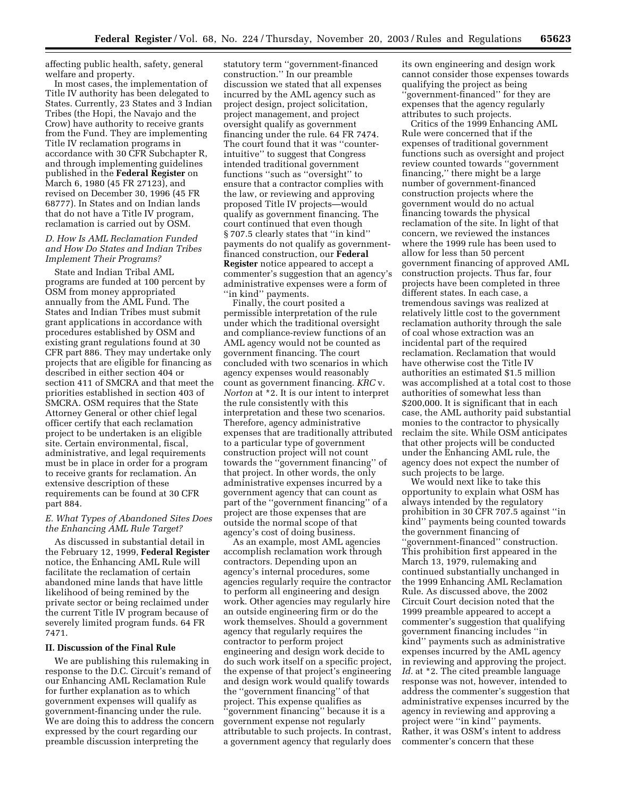affecting public health, safety, general welfare and property.

In most cases, the implementation of Title IV authority has been delegated to States. Currently, 23 States and 3 Indian Tribes (the Hopi, the Navajo and the Crow) have authority to receive grants from the Fund. They are implementing Title IV reclamation programs in accordance with 30 CFR Subchapter R, and through implementing guidelines published in the **Federal Register** on March 6, 1980 (45 FR 27123), and revised on December 30, 1996 (45 FR 68777). In States and on Indian lands that do not have a Title IV program, reclamation is carried out by OSM.

# *D. How Is AML Reclamation Funded and How Do States and Indian Tribes Implement Their Programs?*

State and Indian Tribal AML programs are funded at 100 percent by OSM from money appropriated annually from the AML Fund. The States and Indian Tribes must submit grant applications in accordance with procedures established by OSM and existing grant regulations found at 30 CFR part 886. They may undertake only projects that are eligible for financing as described in either section 404 or section 411 of SMCRA and that meet the priorities established in section 403 of SMCRA. OSM requires that the State Attorney General or other chief legal officer certify that each reclamation project to be undertaken is an eligible site. Certain environmental, fiscal, administrative, and legal requirements must be in place in order for a program to receive grants for reclamation. An extensive description of these requirements can be found at 30 CFR part 884.

# *E. What Types of Abandoned Sites Does the Enhancing AML Rule Target?*

As discussed in substantial detail in the February 12, 1999, **Federal Register** notice, the Enhancing AML Rule will facilitate the reclamation of certain abandoned mine lands that have little likelihood of being remined by the private sector or being reclaimed under the current Title IV program because of severely limited program funds. 64 FR 7471.

### **II. Discussion of the Final Rule**

We are publishing this rulemaking in response to the D.C. Circuit's remand of our Enhancing AML Reclamation Rule for further explanation as to which government expenses will qualify as government-financing under the rule. We are doing this to address the concern expressed by the court regarding our preamble discussion interpreting the

statutory term ''government-financed construction.'' In our preamble discussion we stated that all expenses incurred by the AML agency such as project design, project solicitation, project management, and project oversight qualify as government financing under the rule. 64 FR 7474. The court found that it was ''counterintuitive'' to suggest that Congress intended traditional government functions ''such as ''oversight'' to ensure that a contractor complies with the law, or reviewing and approving proposed Title IV projects—would qualify as government financing. The court continued that even though § 707.5 clearly states that ''in kind'' payments do not qualify as governmentfinanced construction, our **Federal Register** notice appeared to accept a commenter's suggestion that an agency's administrative expenses were a form of ''in kind'' payments.

Finally, the court posited a permissible interpretation of the rule under which the traditional oversight and compliance-review functions of an AML agency would not be counted as government financing. The court concluded with two scenarios in which agency expenses would reasonably count as government financing. *KRC* v. *Norton* at \*2. It is our intent to interpret the rule consistently with this interpretation and these two scenarios. Therefore, agency administrative expenses that are traditionally attributed to a particular type of government construction project will not count towards the ''government financing'' of that project. In other words, the only administrative expenses incurred by a government agency that can count as part of the ''government financing'' of a project are those expenses that are outside the normal scope of that agency's cost of doing business.

As an example, most AML agencies accomplish reclamation work through contractors. Depending upon an agency's internal procedures, some agencies regularly require the contractor to perform all engineering and design work. Other agencies may regularly hire an outside engineering firm or do the work themselves. Should a government agency that regularly requires the contractor to perform project engineering and design work decide to do such work itself on a specific project, the expense of that project's engineering and design work would qualify towards the ''government financing'' of that project. This expense qualifies as 'government financing" because it is a government expense not regularly attributable to such projects. In contrast, a government agency that regularly does

its own engineering and design work cannot consider those expenses towards qualifying the project as being 'government-financed'' for they are expenses that the agency regularly attributes to such projects.

Critics of the 1999 Enhancing AML Rule were concerned that if the expenses of traditional government functions such as oversight and project review counted towards ''government financing,'' there might be a large number of government-financed construction projects where the government would do no actual financing towards the physical reclamation of the site. In light of that concern, we reviewed the instances where the 1999 rule has been used to allow for less than 50 percent government financing of approved AML construction projects. Thus far, four projects have been completed in three different states. In each case, a tremendous savings was realized at relatively little cost to the government reclamation authority through the sale of coal whose extraction was an incidental part of the required reclamation. Reclamation that would have otherwise cost the Title IV authorities an estimated \$1.5 million was accomplished at a total cost to those authorities of somewhat less than \$200,000. It is significant that in each case, the AML authority paid substantial monies to the contractor to physically reclaim the site. While OSM anticipates that other projects will be conducted under the Enhancing AML rule, the agency does not expect the number of such projects to be large.

We would next like to take this opportunity to explain what OSM has always intended by the regulatory prohibition in 30 CFR 707.5 against ''in kind'' payments being counted towards the government financing of ''government-financed'' construction. This prohibition first appeared in the March 13, 1979, rulemaking and continued substantially unchanged in the 1999 Enhancing AML Reclamation Rule. As discussed above, the 2002 Circuit Court decision noted that the 1999 preamble appeared to accept a commenter's suggestion that qualifying government financing includes ''in kind'' payments such as administrative expenses incurred by the AML agency in reviewing and approving the project. *Id.* at \*2. The cited preamble language response was not, however, intended to address the commenter's suggestion that administrative expenses incurred by the agency in reviewing and approving a project were ''in kind'' payments. Rather, it was OSM's intent to address commenter's concern that these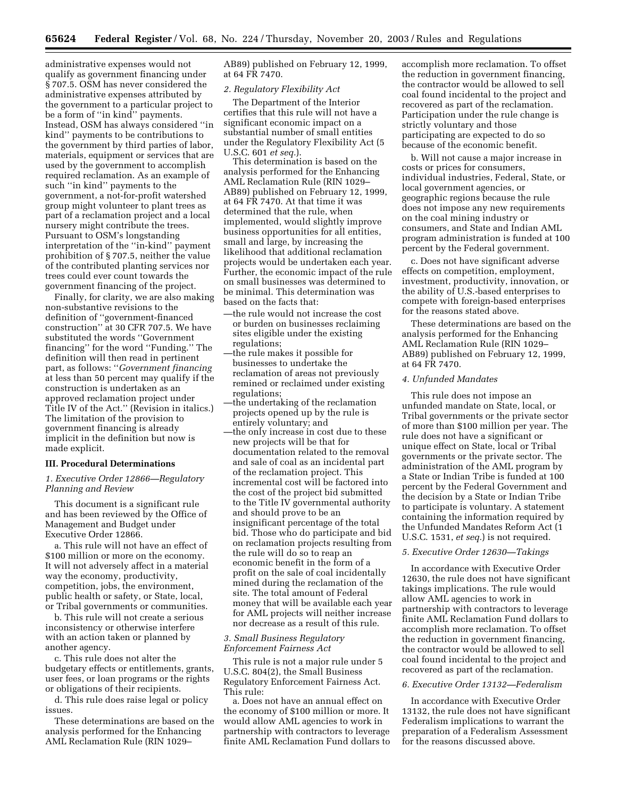administrative expenses would not qualify as government financing under § 707.5. OSM has never considered the administrative expenses attributed by the government to a particular project to be a form of ''in kind'' payments. Instead, OSM has always considered ''in kind'' payments to be contributions to the government by third parties of labor, materials, equipment or services that are used by the government to accomplish required reclamation. As an example of such ''in kind'' payments to the government, a not-for-profit watershed group might volunteer to plant trees as part of a reclamation project and a local nursery might contribute the trees. Pursuant to OSM's longstanding interpretation of the ''in-kind'' payment prohibition of § 707.5, neither the value of the contributed planting services nor trees could ever count towards the government financing of the project.

Finally, for clarity, we are also making non-substantive revisions to the definition of ''government-financed construction'' at 30 CFR 707.5. We have substituted the words ''Government financing'' for the word ''Funding.'' The definition will then read in pertinent part, as follows: ''*Government financing* at less than 50 percent may qualify if the construction is undertaken as an approved reclamation project under Title IV of the Act.'' (Revision in italics.) The limitation of the provision to government financing is already implicit in the definition but now is made explicit.

#### **III. Procedural Determinations**

### *1. Executive Order 12866—Regulatory Planning and Review*

This document is a significant rule and has been reviewed by the Office of Management and Budget under Executive Order 12866.

a. This rule will not have an effect of \$100 million or more on the economy. It will not adversely affect in a material way the economy, productivity, competition, jobs, the environment, public health or safety, or State, local, or Tribal governments or communities.

b. This rule will not create a serious inconsistency or otherwise interfere with an action taken or planned by another agency.

c. This rule does not alter the budgetary effects or entitlements, grants, user fees, or loan programs or the rights or obligations of their recipients.

d. This rule does raise legal or policy issues.

These determinations are based on the analysis performed for the Enhancing AML Reclamation Rule (RIN 1029–

AB89) published on February 12, 1999, at 64 FR 7470.

#### *2. Regulatory Flexibility Act*

The Department of the Interior certifies that this rule will not have a significant economic impact on a substantial number of small entities under the Regulatory Flexibility Act (5 U.S.C. 601 *et seq.*).

This determination is based on the analysis performed for the Enhancing AML Reclamation Rule (RIN 1029– AB89) published on February 12, 1999, at 64 FR 7470. At that time it was determined that the rule, when implemented, would slightly improve business opportunities for all entities, small and large, by increasing the likelihood that additional reclamation projects would be undertaken each year. Further, the economic impact of the rule on small businesses was determined to be minimal. This determination was based on the facts that:

- —the rule would not increase the cost or burden on businesses reclaiming sites eligible under the existing regulations;
- —the rule makes it possible for businesses to undertake the reclamation of areas not previously remined or reclaimed under existing regulations;
- —the undertaking of the reclamation projects opened up by the rule is entirely voluntary; and
- —the only increase in cost due to these new projects will be that for documentation related to the removal and sale of coal as an incidental part of the reclamation project. This incremental cost will be factored into the cost of the project bid submitted to the Title IV governmental authority and should prove to be an insignificant percentage of the total bid. Those who do participate and bid on reclamation projects resulting from the rule will do so to reap an economic benefit in the form of a profit on the sale of coal incidentally mined during the reclamation of the site. The total amount of Federal money that will be available each year for AML projects will neither increase nor decrease as a result of this rule.

#### *3. Small Business Regulatory Enforcement Fairness Act*

This rule is not a major rule under 5 U.S.C. 804(2), the Small Business Regulatory Enforcement Fairness Act. This rule:

a. Does not have an annual effect on the economy of \$100 million or more. It would allow AML agencies to work in partnership with contractors to leverage finite AML Reclamation Fund dollars to accomplish more reclamation. To offset the reduction in government financing, the contractor would be allowed to sell coal found incidental to the project and recovered as part of the reclamation. Participation under the rule change is strictly voluntary and those participating are expected to do so because of the economic benefit.

b. Will not cause a major increase in costs or prices for consumers, individual industries, Federal, State, or local government agencies, or geographic regions because the rule does not impose any new requirements on the coal mining industry or consumers, and State and Indian AML program administration is funded at 100 percent by the Federal government.

c. Does not have significant adverse effects on competition, employment, investment, productivity, innovation, or the ability of U.S.-based enterprises to compete with foreign-based enterprises for the reasons stated above.

These determinations are based on the analysis performed for the Enhancing AML Reclamation Rule (RIN 1029– AB89) published on February 12, 1999, at 64 FR 7470.

#### *4. Unfunded Mandates*

This rule does not impose an unfunded mandate on State, local, or Tribal governments or the private sector of more than \$100 million per year. The rule does not have a significant or unique effect on State, local or Tribal governments or the private sector. The administration of the AML program by a State or Indian Tribe is funded at 100 percent by the Federal Government and the decision by a State or Indian Tribe to participate is voluntary. A statement containing the information required by the Unfunded Mandates Reform Act (1 U.S.C. 1531, *et seq.*) is not required.

# *5. Executive Order 12630—Takings*

In accordance with Executive Order 12630, the rule does not have significant takings implications. The rule would allow AML agencies to work in partnership with contractors to leverage finite AML Reclamation Fund dollars to accomplish more reclamation. To offset the reduction in government financing, the contractor would be allowed to sell coal found incidental to the project and recovered as part of the reclamation.

# *6. Executive Order 13132—Federalism*

In accordance with Executive Order 13132, the rule does not have significant Federalism implications to warrant the preparation of a Federalism Assessment for the reasons discussed above.